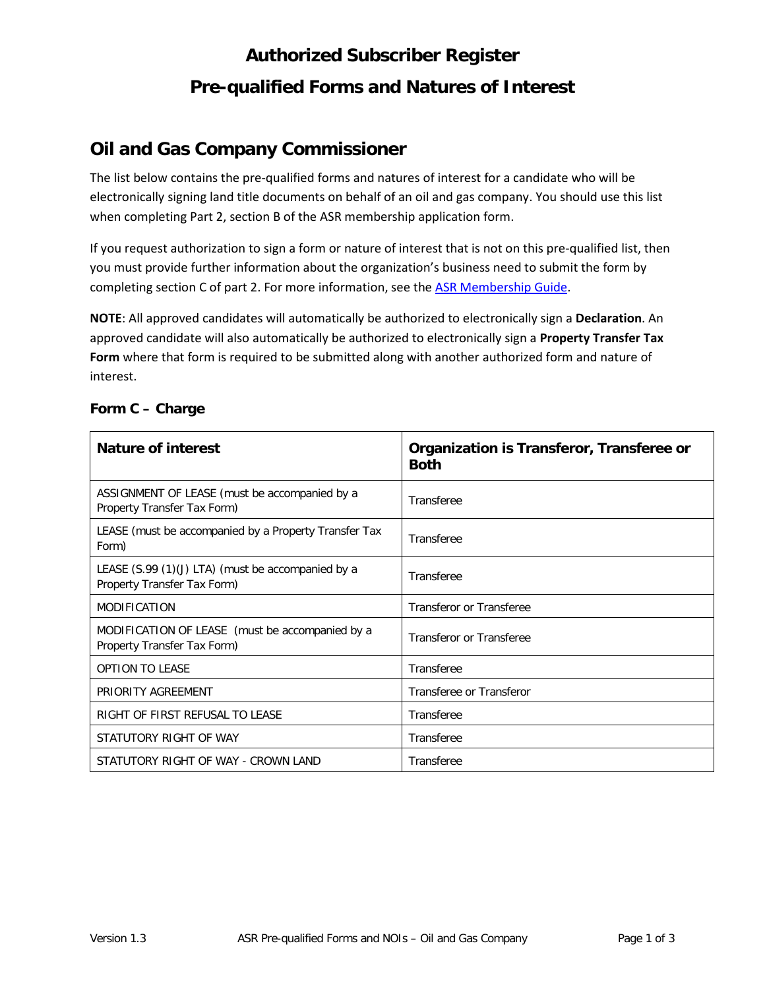# **Authorized Subscriber Register Pre-qualified Forms and Natures of Interest**

## **Oil and Gas Company Commissioner**

The list below contains the pre-qualified forms and natures of interest for a candidate who will be electronically signing land title documents on behalf of an oil and gas company. You should use this list when completing Part 2, section B of the ASR membership application form.

If you request authorization to sign a form or nature of interest that is not on this pre-qualified list, then you must provide further information about the organization's business need to submit the form by completing section C of part 2. For more information, see the [ASR Membership Guide.](http://www.ltsa.ca/docs/ASR-Membership-Guide.pdf)

**NOTE**: All approved candidates will automatically be authorized to electronically sign a **Declaration**. An approved candidate will also automatically be authorized to electronically sign a **Property Transfer Tax Form** where that form is required to be submitted along with another authorized form and nature of interest.

| <b>Nature of interest</b>                                                        | Organization is Transferor, Transferee or<br><b>Both</b> |
|----------------------------------------------------------------------------------|----------------------------------------------------------|
| ASSIGNMENT OF LEASE (must be accompanied by a<br>Property Transfer Tax Form)     | Transferee                                               |
| LEASE (must be accompanied by a Property Transfer Tax<br>Form)                   | Transferee                                               |
| LEASE (S.99 (1)(J) LTA) (must be accompanied by a<br>Property Transfer Tax Form) | Transferee                                               |
| <b>MODIFICATION</b>                                                              | Transferor or Transferee                                 |
| MODIFICATION OF LEASE (must be accompanied by a<br>Property Transfer Tax Form)   | Transferor or Transferee                                 |
| <b>OPTION TO LEASE</b>                                                           | Transferee                                               |
| PRIORITY AGREEMENT                                                               | Transferee or Transferor                                 |
| RIGHT OF FIRST REFUSAL TO LEASE                                                  | Transferee                                               |
| STATUTORY RIGHT OF WAY                                                           | Transferee                                               |
| STATUTORY RIGHT OF WAY - CROWN LAND                                              | Transferee                                               |

#### **Form C – Charge**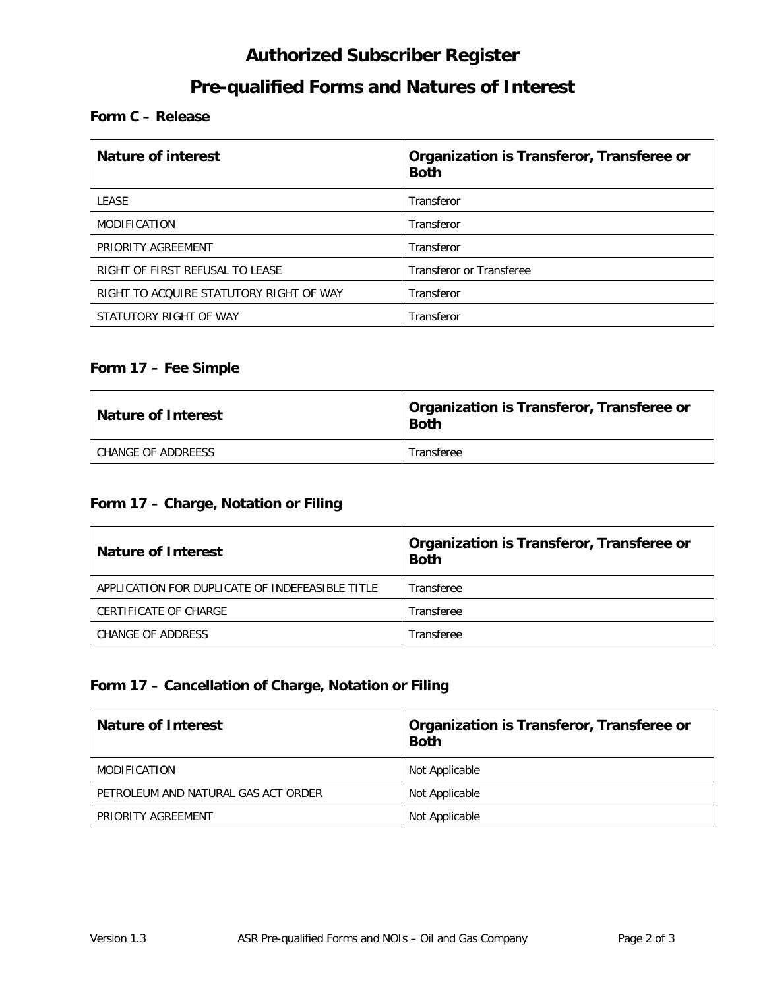## **Authorized Subscriber Register**

## **Pre-qualified Forms and Natures of Interest**

#### **Form C – Release**

| <b>Nature of interest</b>               | Organization is Transferor, Transferee or<br><b>Both</b> |
|-----------------------------------------|----------------------------------------------------------|
| <b>LEASE</b>                            | Transferor                                               |
| <b>MODIFICATION</b>                     | Transferor                                               |
| PRIORITY AGREEMENT                      | Transferor                                               |
| RIGHT OF FIRST REFUSAL TO LEASE         | Transferor or Transferee                                 |
| RIGHT TO ACQUIRE STATUTORY RIGHT OF WAY | Transferor                                               |
| STATUTORY RIGHT OF WAY                  | Transferor                                               |

#### **Form 17 – Fee Simple**

| <b>Nature of Interest</b> | Organization is Transferor, Transferee or<br><b>Both</b> |
|---------------------------|----------------------------------------------------------|
| CHANGE OF ADDREESS        | Transferee                                               |

#### **Form 17 – Charge, Notation or Filing**

| <b>Nature of Interest</b>                       | Organization is Transferor, Transferee or<br><b>Both</b> |
|-------------------------------------------------|----------------------------------------------------------|
| APPLICATION FOR DUPLICATE OF INDEFEASIBLE TITLE | Transferee                                               |
| CERTIFICATE OF CHARGE                           | Transferee                                               |
| CHANGE OF ADDRESS                               | Transferee                                               |

#### **Form 17 – Cancellation of Charge, Notation or Filing**

| <b>Nature of Interest</b>           | Organization is Transferor, Transferee or<br><b>Both</b> |
|-------------------------------------|----------------------------------------------------------|
| MODIFICATION                        | Not Applicable                                           |
| PETROLEUM AND NATURAL GAS ACT ORDER | Not Applicable                                           |
| PRIORITY AGREEMENT                  | Not Applicable                                           |